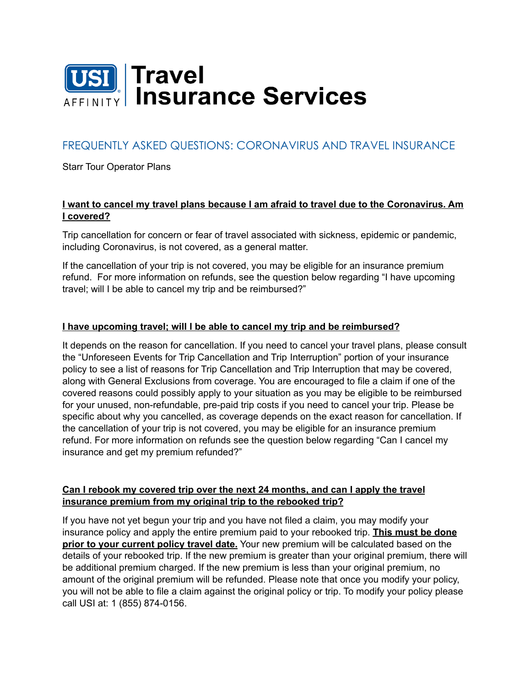

# FREQUENTLY ASKED QUESTIONS: CORONAVIRUS AND TRAVEL INSURANCE

Starr Tour Operator Plans

#### **I want to cancel my travel plans because I am afraid to travel due to the Coronavirus. Am I covered?**

Trip cancellation for concern or fear of travel associated with sickness, epidemic or pandemic, including Coronavirus, is not covered, as a general matter.

If the cancellation of your trip is not covered, you may be eligible for an insurance premium refund. For more information on refunds, see the question below regarding "I have upcoming travel; will I be able to cancel my trip and be reimbursed?"

#### **I have upcoming travel; will I be able to cancel my trip and be reimbursed?**

It depends on the reason for cancellation. If you need to cancel your travel plans, please consult the "Unforeseen Events for Trip Cancellation and Trip Interruption" portion of your insurance policy to see a list of reasons for Trip Cancellation and Trip Interruption that may be covered, along with General Exclusions from coverage. You are encouraged to file a claim if one of the covered reasons could possibly apply to your situation as you may be eligible to be reimbursed for your unused, non-refundable, pre-paid trip costs if you need to cancel your trip. Please be specific about why you cancelled, as coverage depends on the exact reason for cancellation. If the cancellation of your trip is not covered, you may be eligible for an insurance premium refund. For more information on refunds see the question below regarding "Can I cancel my insurance and get my premium refunded?"

#### **Can I rebook my covered trip over the next 24 months, and can I apply the travel insurance premium from my original trip to the rebooked trip?**

If you have not yet begun your trip and you have not filed a claim, you may modify your insurance policy and apply the entire premium paid to your rebooked trip. **This must be done prior to your current policy travel date.** Your new premium will be calculated based on the details of your rebooked trip. If the new premium is greater than your original premium, there will be additional premium charged. If the new premium is less than your original premium, no amount of the original premium will be refunded. Please note that once you modify your policy, you will not be able to file a claim against the original policy or trip. To modify your policy please call USI at: 1 (855) 874-0156.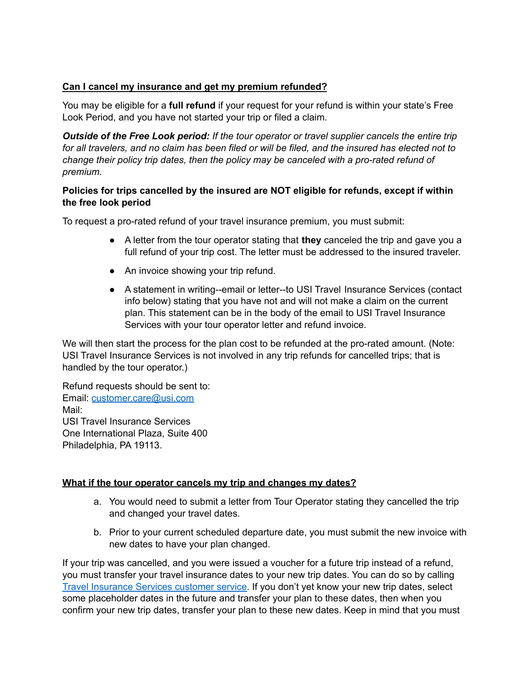#### **Can I cancel my insurance and get my premium refunded?**

You may be eligible for a **full refund** if your request for your refund is within your state's Free Look Period, and you have not started your trip or filed a claim.

*Outside of the Free Look period: If the tour operator or travel supplier cancels the entire trip* for all travelers, and no claim has been filed or will be filed, and the insured has elected not to *change their policy trip dates, then the policy may be canceled with a pro-rated refund of premium.*

#### **Policies for trips cancelled by the insured are NOT eligible for refunds, except if within the free look period**

To request a pro-rated refund of your travel insurance premium, you must submit:

- A letter from the tour operator stating that **they** canceled the trip and gave you a full refund of your trip cost. The letter must be addressed to the insured traveler.
- An invoice showing your trip refund.
- A statement in writing--email or letter--to USI Travel Insurance Services (contact info below) stating that you have not and will not make a claim on the current plan. This statement can be in the body of the email to USI Travel Insurance Services with your tour operator letter and refund invoice.

We will then start the process for the plan cost to be refunded at the pro-rated amount. (Note: USI Travel Insurance Services is not involved in any trip refunds for cancelled trips; that is handled by the tour operator.)

Refund requests should be sent to: Email: [customer.care@usi.com](mailto:customer.care@usi.com) Mail: USI Travel Insurance Services One International Plaza, Suite 400 Philadelphia, PA 19113.

#### **What if the tour operator cancels my trip and changes my dates?**

- a. You would need to submit a letter from Tour Operator stating they cancelled the trip and changed your travel dates.
- b. Prior to your current scheduled departure date, you must submit the new invoice with new dates to have your plan changed.

If your trip was cancelled, and you were issued a voucher for a future trip instead of a refund, you must transfer your travel insurance dates to your new trip dates. You can do so by calling Travel [Insurance](https://www.travelinsure.com/contact-us/) Services customer service. If you don't yet know your new trip dates, select some placeholder dates in the future and transfer your plan to these dates, then when you confirm your new trip dates, transfer your plan to these new dates. Keep in mind that you must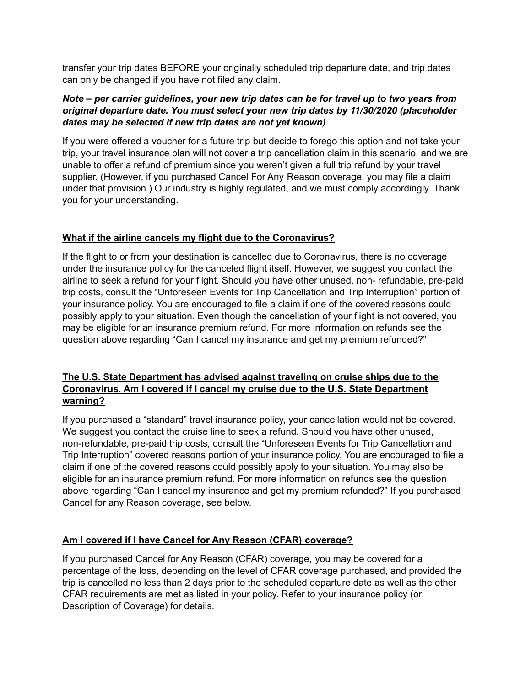transfer your trip dates BEFORE your originally scheduled trip departure date, and trip dates can only be changed if you have not filed any claim.

#### *Note – per carrier guidelines, your new trip dates can be for travel up to two years from original departure date. You must select your new trip dates by 11/30/2020 (placeholder dates may be selected if new trip dates are not yet known).*

If you were offered a voucher for a future trip but decide to forego this option and not take your trip, your travel insurance plan will not cover a trip cancellation claim in this scenario, and we are unable to offer a refund of premium since you weren't given a full trip refund by your travel supplier. (However, if you purchased Cancel For Any Reason coverage, you may file a claim under that provision.) Our industry is highly regulated, and we must comply accordingly. Thank you for your understanding.

### **What if the airline cancels my flight due to the Coronavirus?**

If the flight to or from your destination is cancelled due to Coronavirus, there is no coverage under the insurance policy for the canceled flight itself. However, we suggest you contact the airline to seek a refund for your flight. Should you have other unused, non- refundable, pre-paid trip costs, consult the "Unforeseen Events for Trip Cancellation and Trip Interruption" portion of your insurance policy. You are encouraged to file a claim if one of the covered reasons could possibly apply to your situation. Even though the cancellation of your flight is not covered, you may be eligible for an insurance premium refund. For more information on refunds see the question above regarding "Can I cancel my insurance and get my premium refunded?"

### **The U.S. State Department has advised against traveling on cruise ships due to the Coronavirus. Am I covered if I cancel my cruise due to the U.S. State Department warning?**

If you purchased a "standard" travel insurance policy, your cancellation would not be covered. We suggest you contact the cruise line to seek a refund. Should you have other unused, non-refundable, pre-paid trip costs, consult the "Unforeseen Events for Trip Cancellation and Trip Interruption" covered reasons portion of your insurance policy. You are encouraged to file a claim if one of the covered reasons could possibly apply to your situation. You may also be eligible for an insurance premium refund. For more information on refunds see the question above regarding "Can I cancel my insurance and get my premium refunded?" If you purchased Cancel for any Reason coverage, see below.

### **Am I covered if I have Cancel for Any Reason (CFAR) coverage?**

If you purchased Cancel for Any Reason (CFAR) coverage, you may be covered for a percentage of the loss, depending on the level of CFAR coverage purchased, and provided the trip is cancelled no less than 2 days prior to the scheduled departure date as well as the other CFAR requirements are met as listed in your policy. Refer to your insurance policy (or Description of Coverage) for details.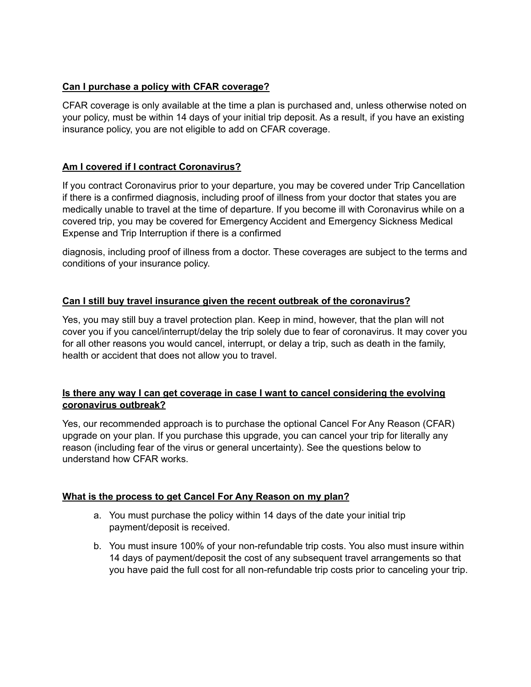### **Can I purchase a policy with CFAR coverage?**

CFAR coverage is only available at the time a plan is purchased and, unless otherwise noted on your policy, must be within 14 days of your initial trip deposit. As a result, if you have an existing insurance policy, you are not eligible to add on CFAR coverage.

### **Am I covered if I contract Coronavirus?**

If you contract Coronavirus prior to your departure, you may be covered under Trip Cancellation if there is a confirmed diagnosis, including proof of illness from your doctor that states you are medically unable to travel at the time of departure. If you become ill with Coronavirus while on a covered trip, you may be covered for Emergency Accident and Emergency Sickness Medical Expense and Trip Interruption if there is a confirmed

diagnosis, including proof of illness from a doctor. These coverages are subject to the terms and conditions of your insurance policy.

### **Can I still buy travel insurance given the recent outbreak of the coronavirus?**

Yes, you may still buy a travel protection plan. Keep in mind, however, that the plan will not cover you if you cancel/interrupt/delay the trip solely due to fear of coronavirus. It may cover you for all other reasons you would cancel, interrupt, or delay a trip, such as death in the family, health or accident that does not allow you to travel.

### **Is there any way I can get coverage in case I want to cancel considering the evolving coronavirus outbreak?**

Yes, our recommended approach is to purchase the optional Cancel For Any Reason (CFAR) upgrade on your plan. If you purchase this upgrade, you can cancel your trip for literally any reason (including fear of the virus or general uncertainty). See the questions below to understand how CFAR works.

#### **What is the process to get Cancel For Any Reason on my plan?**

- a. You must purchase the policy within 14 days of the date your initial trip payment/deposit is received.
- b. You must insure 100% of your non-refundable trip costs. You also must insure within 14 days of payment/deposit the cost of any subsequent travel arrangements so that you have paid the full cost for all non-refundable trip costs prior to canceling your trip.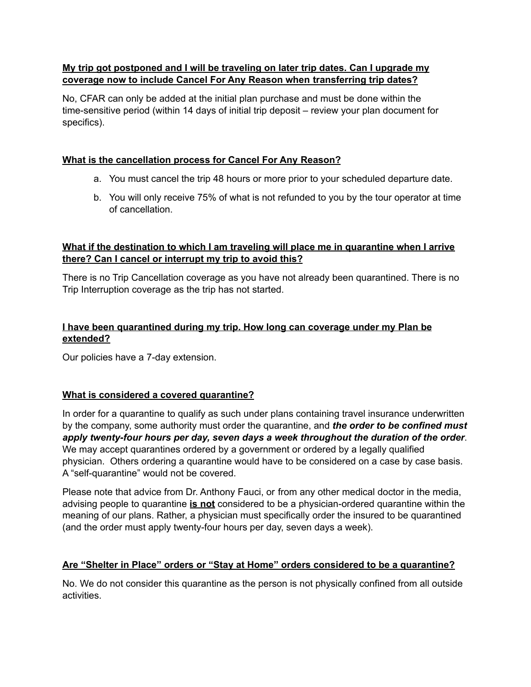#### **My trip got postponed and I will be traveling on later trip dates. Can I upgrade my coverage now to include Cancel For Any Reason when transferring trip dates?**

No, CFAR can only be added at the initial plan purchase and must be done within the time-sensitive period (within 14 days of initial trip deposit – review your plan document for specifics).

### **What is the cancellation process for Cancel For Any Reason?**

- a. You must cancel the trip 48 hours or more prior to your scheduled departure date.
- b. You will only receive 75% of what is not refunded to you by the tour operator at time of cancellation.

#### **What if the destination to which I am traveling will place me in quarantine when I arrive there? Can I cancel or interrupt my trip to avoid this?**

There is no Trip Cancellation coverage as you have not already been quarantined. There is no Trip Interruption coverage as the trip has not started.

### **I have been quarantined during my trip. How long can coverage under my Plan be extended?**

Our policies have a 7-day extension.

#### **What is considered a covered quarantine?**

In order for a quarantine to qualify as such under plans containing travel insurance underwritten by the company, some authority must order the quarantine, and *the order to be confined must apply twenty-four hours per day, seven days a week throughout the duration of the order*. We may accept quarantines ordered by a government or ordered by a legally qualified physician. Others ordering a quarantine would have to be considered on a case by case basis. A "self-quarantine" would not be covered.

Please note that advice from Dr. Anthony Fauci, or from any other medical doctor in the media, advising people to quarantine **is not** considered to be a physician-ordered quarantine within the meaning of our plans. Rather, a physician must specifically order the insured to be quarantined (and the order must apply twenty-four hours per day, seven days a week).

#### **Are "Shelter in Place" orders or "Stay at Home" orders considered to be a quarantine?**

No. We do not consider this quarantine as the person is not physically confined from all outside activities.